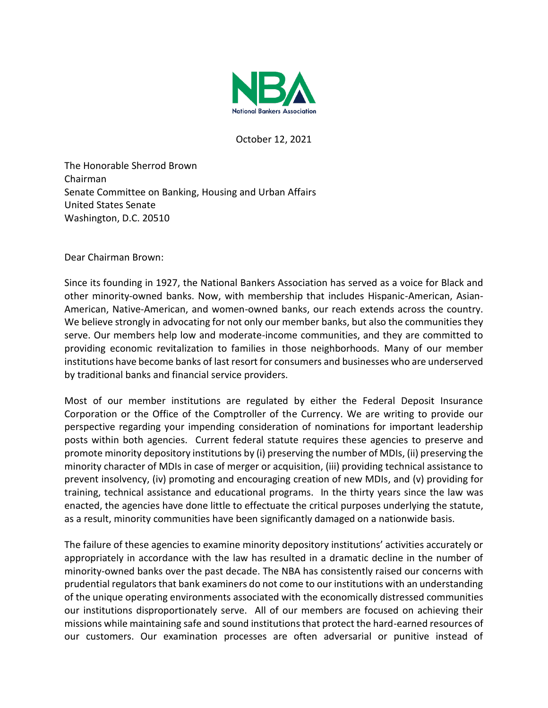

October 12, 2021

The Honorable Sherrod Brown Chairman Senate Committee on Banking, Housing and Urban Affairs United States Senate Washington, D.C. 20510

Dear Chairman Brown:

Since its founding in 1927, the National Bankers Association has served as a voice for Black and other minority-owned banks. Now, with membership that includes Hispanic-American, Asian-American, Native-American, and women-owned banks, our reach extends across the country. We believe strongly in advocating for not only our member banks, but also the communities they serve. Our members help low and moderate-income communities, and they are committed to providing economic revitalization to families in those neighborhoods. Many of our member institutions have become banks of last resort for consumers and businesses who are underserved by traditional banks and financial service providers.

Most of our member institutions are regulated by either the Federal Deposit Insurance Corporation or the Office of the Comptroller of the Currency. We are writing to provide our perspective regarding your impending consideration of nominations for important leadership posts within both agencies. Current federal statute requires these agencies to preserve and promote minority depository institutions by (i) preserving the number of MDIs, (ii) preserving the minority character of MDIs in case of merger or acquisition, (iii) providing technical assistance to prevent insolvency, (iv) promoting and encouraging creation of new MDIs, and (v) providing for training, technical assistance and educational programs. In the thirty years since the law was enacted, the agencies have done little to effectuate the critical purposes underlying the statute, as a result, minority communities have been significantly damaged on a nationwide basis.

The failure of these agencies to examine minority depository institutions' activities accurately or appropriately in accordance with the law has resulted in a dramatic decline in the number of minority-owned banks over the past decade. The NBA has consistently raised our concerns with prudential regulators that bank examiners do not come to our institutions with an understanding of the unique operating environments associated with the economically distressed communities our institutions disproportionately serve. All of our members are focused on achieving their missions while maintaining safe and sound institutions that protect the hard-earned resources of our customers. Our examination processes are often adversarial or punitive instead of